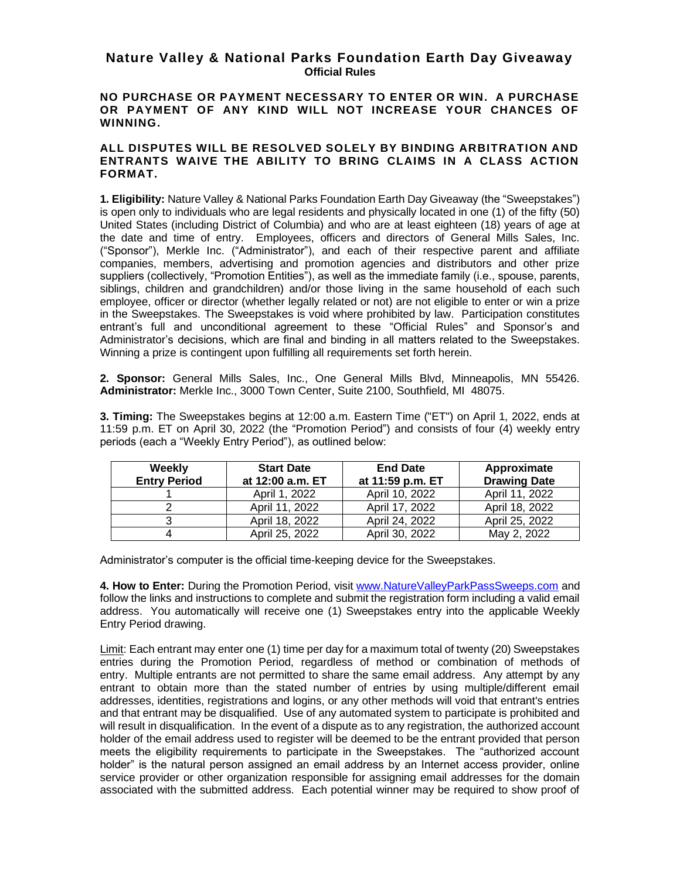## **Nature Valley & National Parks Foundation Earth Day Giveaway Official Rules**

## **NO PURCHASE OR PAYMENT NECESSARY TO ENTER OR WIN. A PURCHASE OR PAYMENT OF ANY KIND WILL NOT INCREASE YOUR CHANCES OF WINNING.**

## **ALL DISPUTES WILL BE RESOLVED SOLELY BY BINDING ARBITRATION AND ENTRANTS WAIVE THE ABILITY TO BRING CLAIMS IN A CLASS ACTION FORMAT.**

**1. Eligibility:** Nature Valley & National Parks Foundation Earth Day Giveaway (the "Sweepstakes") is open only to individuals who are legal residents and physically located in one (1) of the fifty (50) United States (including District of Columbia) and who are at least eighteen (18) years of age at the date and time of entry. Employees, officers and directors of General Mills Sales, Inc. ("Sponsor"), Merkle Inc. ("Administrator"), and each of their respective parent and affiliate companies, members, advertising and promotion agencies and distributors and other prize suppliers (collectively, "Promotion Entities"), as well as the immediate family (i.e., spouse, parents, siblings, children and grandchildren) and/or those living in the same household of each such employee, officer or director (whether legally related or not) are not eligible to enter or win a prize in the Sweepstakes. The Sweepstakes is void where prohibited by law. Participation constitutes entrant's full and unconditional agreement to these "Official Rules" and Sponsor's and Administrator's decisions, which are final and binding in all matters related to the Sweepstakes. Winning a prize is contingent upon fulfilling all requirements set forth herein.

**2. Sponsor:** General Mills Sales, Inc., One General Mills Blvd, Minneapolis, MN 55426. **Administrator:** Merkle Inc., 3000 Town Center, Suite 2100, Southfield, MI 48075.

**3. Timing:** The Sweepstakes begins at 12:00 a.m. Eastern Time ("ET") on April 1, 2022, ends at 11:59 p.m. ET on April 30, 2022 (the "Promotion Period") and consists of four (4) weekly entry periods (each a "Weekly Entry Period"), as outlined below:

| Weekly<br><b>Entry Period</b> | <b>Start Date</b><br>at 12:00 a.m. ET | <b>End Date</b><br>at 11:59 p.m. ET | Approximate<br><b>Drawing Date</b> |
|-------------------------------|---------------------------------------|-------------------------------------|------------------------------------|
|                               | April 1, 2022                         | April 10, 2022                      | April 11, 2022                     |
|                               | April 11, 2022                        | April 17, 2022                      | April 18, 2022                     |
|                               | April 18, 2022                        | April 24, 2022                      | April 25, 2022                     |
|                               | April 25, 2022                        | April 30, 2022                      | May 2, 2022                        |

Administrator's computer is the official time-keeping device for the Sweepstakes.

**4. How to Enter:** During the Promotion Period, visit [www.NatureValleyParkPassSweeps.com](http://www.naturevalleyparkpasssweeps.com/) and follow the links and instructions to complete and submit the registration form including a valid email address. You automatically will receive one (1) Sweepstakes entry into the applicable Weekly Entry Period drawing.

Limit: Each entrant may enter one (1) time per day for a maximum total of twenty (20) Sweepstakes entries during the Promotion Period, regardless of method or combination of methods of entry. Multiple entrants are not permitted to share the same email address. Any attempt by any entrant to obtain more than the stated number of entries by using multiple/different email addresses, identities, registrations and logins, or any other methods will void that entrant's entries and that entrant may be disqualified. Use of any automated system to participate is prohibited and will result in disqualification. In the event of a dispute as to any registration, the authorized account holder of the email address used to register will be deemed to be the entrant provided that person meets the eligibility requirements to participate in the Sweepstakes. The "authorized account holder" is the natural person assigned an email address by an Internet access provider, online service provider or other organization responsible for assigning email addresses for the domain associated with the submitted address. Each potential winner may be required to show proof of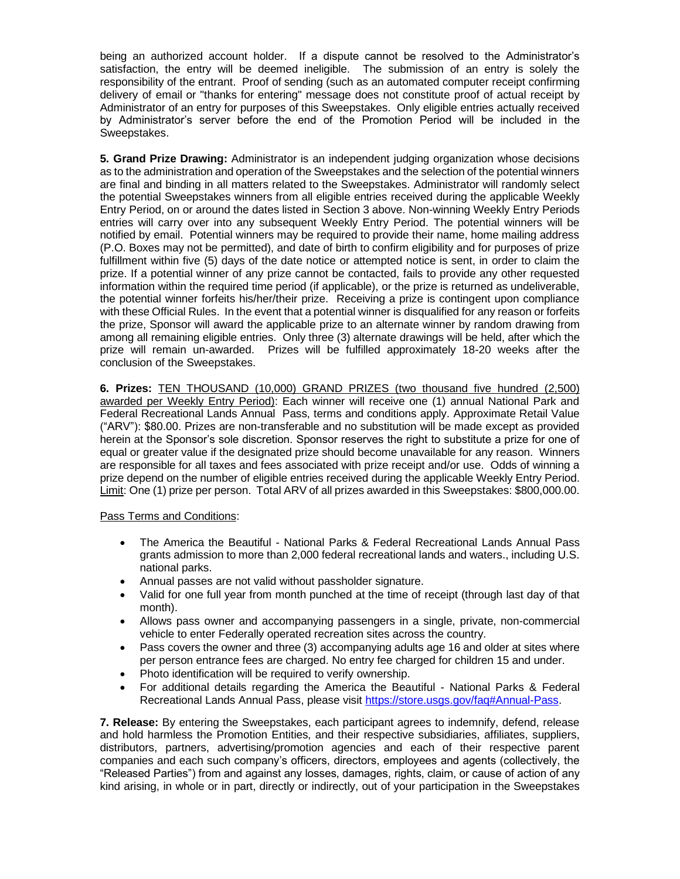being an authorized account holder. If a dispute cannot be resolved to the Administrator's satisfaction, the entry will be deemed ineligible. The submission of an entry is solely the responsibility of the entrant. Proof of sending (such as an automated computer receipt confirming delivery of email or "thanks for entering" message does not constitute proof of actual receipt by Administrator of an entry for purposes of this Sweepstakes. Only eligible entries actually received by Administrator's server before the end of the Promotion Period will be included in the Sweepstakes.

**5. Grand Prize Drawing:** Administrator is an independent judging organization whose decisions as to the administration and operation of the Sweepstakes and the selection of the potential winners are final and binding in all matters related to the Sweepstakes. Administrator will randomly select the potential Sweepstakes winners from all eligible entries received during the applicable Weekly Entry Period, on or around the dates listed in Section 3 above. Non-winning Weekly Entry Periods entries will carry over into any subsequent Weekly Entry Period. The potential winners will be notified by email. Potential winners may be required to provide their name, home mailing address (P.O. Boxes may not be permitted), and date of birth to confirm eligibility and for purposes of prize fulfillment within five (5) days of the date notice or attempted notice is sent, in order to claim the prize. If a potential winner of any prize cannot be contacted, fails to provide any other requested information within the required time period (if applicable), or the prize is returned as undeliverable, the potential winner forfeits his/her/their prize. Receiving a prize is contingent upon compliance with these Official Rules. In the event that a potential winner is disqualified for any reason or forfeits the prize, Sponsor will award the applicable prize to an alternate winner by random drawing from among all remaining eligible entries. Only three (3) alternate drawings will be held, after which the prize will remain un-awarded. Prizes will be fulfilled approximately 18-20 weeks after the conclusion of the Sweepstakes.

**6. Prizes:** TEN THOUSAND (10,000) GRAND PRIZES (two thousand five hundred (2,500) awarded per Weekly Entry Period): Each winner will receive one (1) annual National Park and Federal Recreational Lands Annual Pass, terms and conditions apply. Approximate Retail Value ("ARV"): \$80.00. Prizes are non-transferable and no substitution will be made except as provided herein at the Sponsor's sole discretion. Sponsor reserves the right to substitute a prize for one of equal or greater value if the designated prize should become unavailable for any reason. Winners are responsible for all taxes and fees associated with prize receipt and/or use. Odds of winning a prize depend on the number of eligible entries received during the applicable Weekly Entry Period. Limit: One (1) prize per person. Total ARV of all prizes awarded in this Sweepstakes: \$800,000.00.

Pass Terms and Conditions:

- The America the Beautiful National Parks & Federal Recreational Lands Annual Pass grants admission to more than 2,000 federal recreational lands and waters., including U.S. national parks.
- Annual passes are not valid without passholder signature.
- Valid for one full year from month punched at the time of receipt (through last day of that month).
- Allows pass owner and accompanying passengers in a single, private, non-commercial vehicle to enter Federally operated recreation sites across the country.
- Pass covers the owner and three (3) accompanying adults age 16 and older at sites where per person entrance fees are charged. No entry fee charged for children 15 and under.
- Photo identification will be required to verify ownership.
- For additional details regarding the America the Beautiful National Parks & Federal Recreational Lands Annual Pass, please visit [https://store.usgs.gov/faq#Annual-Pass.](https://store.usgs.gov/faq#Annual-Pass)

**7. Release:** By entering the Sweepstakes, each participant agrees to indemnify, defend, release and hold harmless the Promotion Entities, and their respective subsidiaries, affiliates, suppliers, distributors, partners, advertising/promotion agencies and each of their respective parent companies and each such company's officers, directors, employees and agents (collectively, the "Released Parties") from and against any losses, damages, rights, claim, or cause of action of any kind arising, in whole or in part, directly or indirectly, out of your participation in the Sweepstakes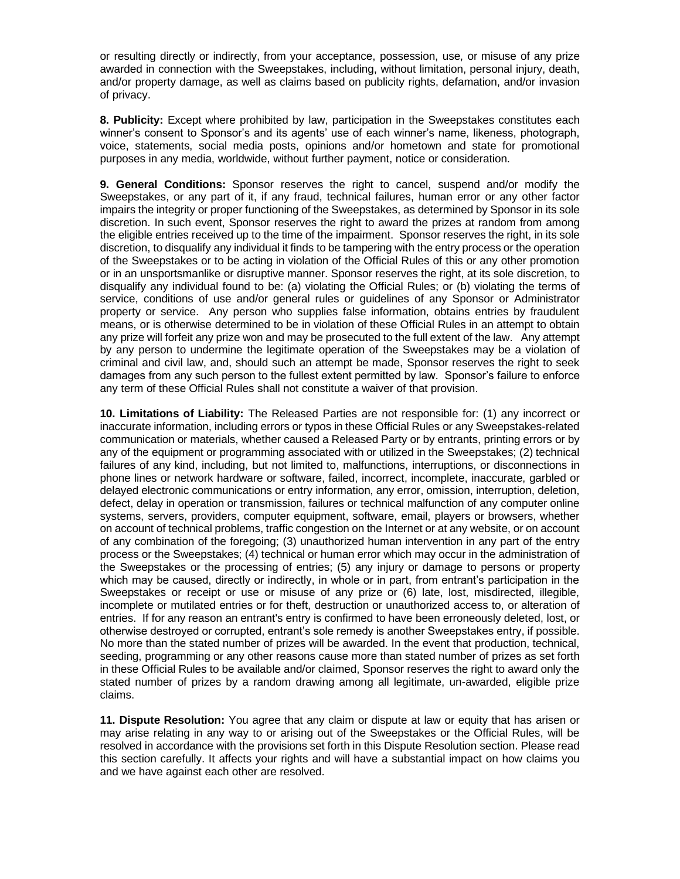or resulting directly or indirectly, from your acceptance, possession, use, or misuse of any prize awarded in connection with the Sweepstakes, including, without limitation, personal injury, death, and/or property damage, as well as claims based on publicity rights, defamation, and/or invasion of privacy.

**8. Publicity:** Except where prohibited by law, participation in the Sweepstakes constitutes each winner's consent to Sponsor's and its agents' use of each winner's name, likeness, photograph, voice, statements, social media posts, opinions and/or hometown and state for promotional purposes in any media, worldwide, without further payment, notice or consideration.

**9. General Conditions:** Sponsor reserves the right to cancel, suspend and/or modify the Sweepstakes, or any part of it, if any fraud, technical failures, human error or any other factor impairs the integrity or proper functioning of the Sweepstakes, as determined by Sponsor in its sole discretion. In such event, Sponsor reserves the right to award the prizes at random from among the eligible entries received up to the time of the impairment. Sponsor reserves the right, in its sole discretion, to disqualify any individual it finds to be tampering with the entry process or the operation of the Sweepstakes or to be acting in violation of the Official Rules of this or any other promotion or in an unsportsmanlike or disruptive manner. Sponsor reserves the right, at its sole discretion, to disqualify any individual found to be: (a) violating the Official Rules; or (b) violating the terms of service, conditions of use and/or general rules or guidelines of any Sponsor or Administrator property or service. Any person who supplies false information, obtains entries by fraudulent means, or is otherwise determined to be in violation of these Official Rules in an attempt to obtain any prize will forfeit any prize won and may be prosecuted to the full extent of the law. Any attempt by any person to undermine the legitimate operation of the Sweepstakes may be a violation of criminal and civil law, and, should such an attempt be made, Sponsor reserves the right to seek damages from any such person to the fullest extent permitted by law. Sponsor's failure to enforce any term of these Official Rules shall not constitute a waiver of that provision.

**10. Limitations of Liability:** The Released Parties are not responsible for: (1) any incorrect or inaccurate information, including errors or typos in these Official Rules or any Sweepstakes-related communication or materials, whether caused a Released Party or by entrants, printing errors or by any of the equipment or programming associated with or utilized in the Sweepstakes; (2) technical failures of any kind, including, but not limited to, malfunctions, interruptions, or disconnections in phone lines or network hardware or software, failed, incorrect, incomplete, inaccurate, garbled or delayed electronic communications or entry information, any error, omission, interruption, deletion, defect, delay in operation or transmission, failures or technical malfunction of any computer online systems, servers, providers, computer equipment, software, email, players or browsers, whether on account of technical problems, traffic congestion on the Internet or at any website, or on account of any combination of the foregoing; (3) unauthorized human intervention in any part of the entry process or the Sweepstakes; (4) technical or human error which may occur in the administration of the Sweepstakes or the processing of entries; (5) any injury or damage to persons or property which may be caused, directly or indirectly, in whole or in part, from entrant's participation in the Sweepstakes or receipt or use or misuse of any prize or (6) late, lost, misdirected, illegible, incomplete or mutilated entries or for theft, destruction or unauthorized access to, or alteration of entries. If for any reason an entrant's entry is confirmed to have been erroneously deleted, lost, or otherwise destroyed or corrupted, entrant's sole remedy is another Sweepstakes entry, if possible. No more than the stated number of prizes will be awarded. In the event that production, technical, seeding, programming or any other reasons cause more than stated number of prizes as set forth in these Official Rules to be available and/or claimed, Sponsor reserves the right to award only the stated number of prizes by a random drawing among all legitimate, un-awarded, eligible prize claims.

**11. Dispute Resolution:** You agree that any claim or dispute at law or equity that has arisen or may arise relating in any way to or arising out of the Sweepstakes or the Official Rules, will be resolved in accordance with the provisions set forth in this Dispute Resolution section. Please read this section carefully. It affects your rights and will have a substantial impact on how claims you and we have against each other are resolved.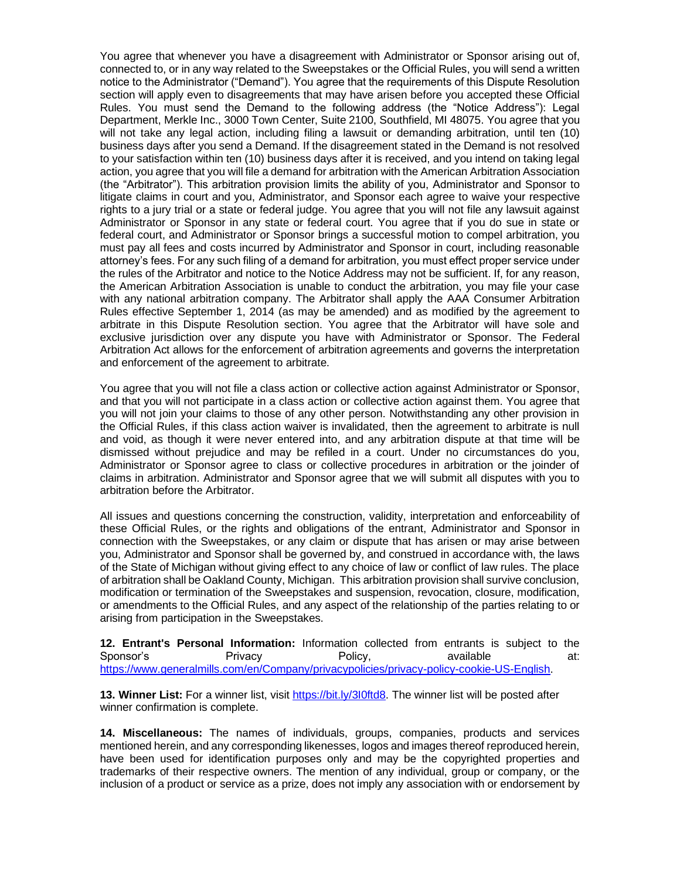You agree that whenever you have a disagreement with Administrator or Sponsor arising out of, connected to, or in any way related to the Sweepstakes or the Official Rules, you will send a written notice to the Administrator ("Demand"). You agree that the requirements of this Dispute Resolution section will apply even to disagreements that may have arisen before you accepted these Official Rules. You must send the Demand to the following address (the "Notice Address"): Legal Department, Merkle Inc., 3000 Town Center, Suite 2100, Southfield, MI 48075. You agree that you will not take any legal action, including filing a lawsuit or demanding arbitration, until ten (10) business days after you send a Demand. If the disagreement stated in the Demand is not resolved to your satisfaction within ten (10) business days after it is received, and you intend on taking legal action, you agree that you will file a demand for arbitration with the American Arbitration Association (the "Arbitrator"). This arbitration provision limits the ability of you, Administrator and Sponsor to litigate claims in court and you, Administrator, and Sponsor each agree to waive your respective rights to a jury trial or a state or federal judge. You agree that you will not file any lawsuit against Administrator or Sponsor in any state or federal court. You agree that if you do sue in state or federal court, and Administrator or Sponsor brings a successful motion to compel arbitration, you must pay all fees and costs incurred by Administrator and Sponsor in court, including reasonable attorney's fees. For any such filing of a demand for arbitration, you must effect proper service under the rules of the Arbitrator and notice to the Notice Address may not be sufficient. If, for any reason, the American Arbitration Association is unable to conduct the arbitration, you may file your case with any national arbitration company. The Arbitrator shall apply the AAA Consumer Arbitration Rules effective September 1, 2014 (as may be amended) and as modified by the agreement to arbitrate in this Dispute Resolution section. You agree that the Arbitrator will have sole and exclusive jurisdiction over any dispute you have with Administrator or Sponsor. The Federal Arbitration Act allows for the enforcement of arbitration agreements and governs the interpretation and enforcement of the agreement to arbitrate.

You agree that you will not file a class action or collective action against Administrator or Sponsor, and that you will not participate in a class action or collective action against them. You agree that you will not join your claims to those of any other person. Notwithstanding any other provision in the Official Rules, if this class action waiver is invalidated, then the agreement to arbitrate is null and void, as though it were never entered into, and any arbitration dispute at that time will be dismissed without prejudice and may be refiled in a court. Under no circumstances do you, Administrator or Sponsor agree to class or collective procedures in arbitration or the joinder of claims in arbitration. Administrator and Sponsor agree that we will submit all disputes with you to arbitration before the Arbitrator.

All issues and questions concerning the construction, validity, interpretation and enforceability of these Official Rules, or the rights and obligations of the entrant, Administrator and Sponsor in connection with the Sweepstakes, or any claim or dispute that has arisen or may arise between you, Administrator and Sponsor shall be governed by, and construed in accordance with, the laws of the State of Michigan without giving effect to any choice of law or conflict of law rules. The place of arbitration shall be Oakland County, Michigan. This arbitration provision shall survive conclusion, modification or termination of the Sweepstakes and suspension, revocation, closure, modification, or amendments to the Official Rules, and any aspect of the relationship of the parties relating to or arising from participation in the Sweepstakes.

**12. Entrant's Personal Information:** Information collected from entrants is subject to the Sponsor's Privacy Policy, available at: [https://www.generalmills.com/en/Company/privacypolicies/privacy-policy-cookie-US-English.](https://www.generalmills.com/privacy-security/us-english-privacy-policy)

**13. Winner List:** For a winner list, visit [https://bit.ly/3I0ftd8.](https://bit.ly/3I0ftd8) The winner list will be posted after winner confirmation is complete.

**14. Miscellaneous:** The names of individuals, groups, companies, products and services mentioned herein, and any corresponding likenesses, logos and images thereof reproduced herein, have been used for identification purposes only and may be the copyrighted properties and trademarks of their respective owners. The mention of any individual, group or company, or the inclusion of a product or service as a prize, does not imply any association with or endorsement by